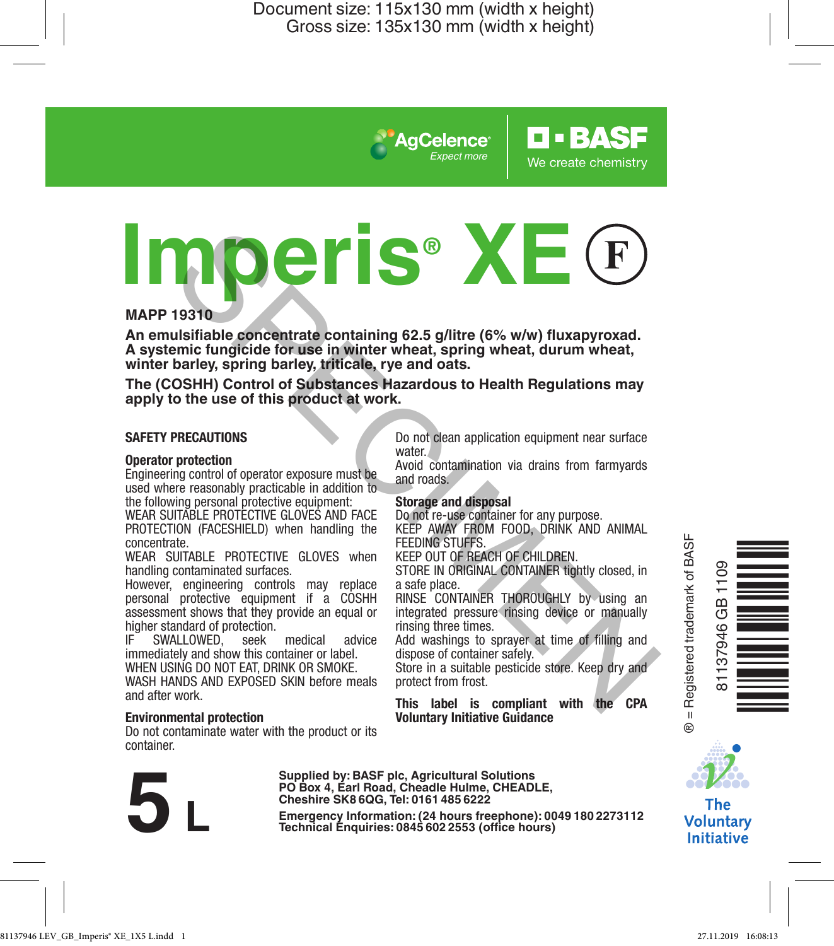*Expect more*

AgCelence

# **IMPREDISTENT STATE CONTROLL AND FACE IS the main state of the product and mention of the systemic fungleled for use in winter wheat, spring wheat, durum wheat, while have the COSHH) Control of Substances Hazardous to Heal**

### **MAPP 19310**

**An emulsifiable concentrate containing 62.5 g/litre (6% w/w) fluxapyroxad. A systemic fungicide for use in winter wheat, spring wheat, durum wheat, winter barley, spring barley, triticale, rye and oats.**

**The (COSHH) Control of Substances Hazardous to Health Regulations may apply to the use of this product at work.**

### **SAFETY PRECAUTIONS**

### **Operator protection**

Engineering control of operator exposure must be used where reasonably practicable in addition to

the following personal protective equipment: WEAR SUITABLE PROTECTIVE GLOVES AND FACE PROTECTION (FACESHIELD) when handling the concentrate.

WEAR SUITABLE PROTECTIVE GLOVES when handling contaminated surfaces.

However, engineering controls may replace personal protective equipment if a COSHH assessment shows that they provide an equal or higher standard of protection.<br>IF SWALLOWED seek

SWALLOWED, seek medical advice immediately and show this container or label. WHEN USING DO NOT EAT, DRINK OR SMOKE.

WASH HANDS AND EXPOSED SKIN before meals and after work.

### **Environmental protection**

Do not contaminate water with the product or its container.

**Cheshire SK8 6QG, Tel: 0161 485 6222**

Supplied by: BASF pic, Agricultural Solutions<br>PO Box 4, Earl Road, Cheadle Hulme, CHEADLE,<br>Cheshire SK8 6QG, Tel: 0161 485 6222<br>Emergency Information: (24 hours freephone): 0049 180 2273112<br>Technical Enquiries: 0845 602 25

Do not clean application equipment near surface water.

**O-BASF** 

We create chemistry

Avoid contamination via drains from farmyards and roads.

### **Storage and disposal**

Do not re-use container for any purpose. KEEP AWAY FROM FOOD, DRINK AND ANIMAL FEEDING STUFFS

KEEP OUT OF REACH OF CHILDREN.

STORE IN ORIGINAL CONTAINER tightly closed, in a safe place.

RINSE CONTAINER THOROUGHLY by using an integrated pressure rinsing device or manually rinsing three times.

Add washings to sprayer at time of filling and dispose of container safely. Store in a suitable pesticide store. Keep dry and

protect from frost.

**This label is compliant with the CPA Voluntary Initiative Guidance**





**The Voluntary Initiative**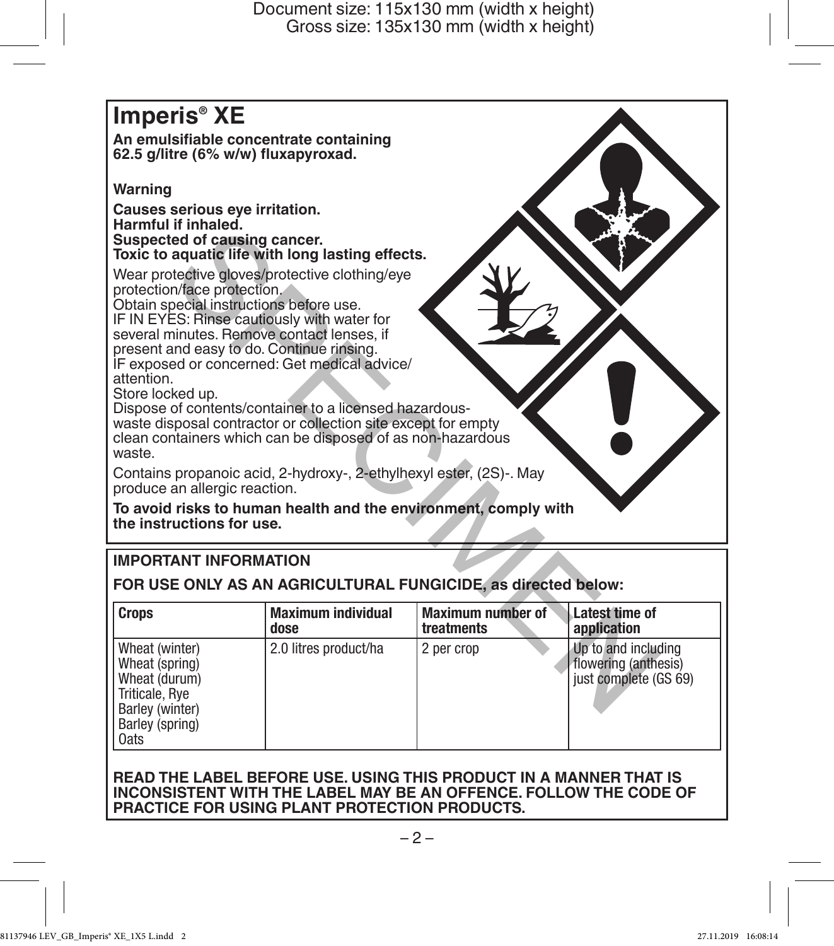# **Imperis® XE An emulsifiable concentrate containing 62.5 g/litre (6% w/w) fluxapyroxad. Warning Causes serious eye irritation. Harmful if inhaled. Suspected of causing cancer. Toxic to aquatic life with long lasting effects.** Wear protective gloves/protective clothing/eye protection/face protection. Obtain special instructions before use. IF IN EYES: Rinse cautiously with water for several minutes. Remove contact lenses, if present and easy to do. Continue rinsing. IF exposed or concerned: Get medical advice/ attention. Store locked up. Dispose of contents/container to a licensed hazardouswaste disposal contractor or collection site except for empty clean containers which can be disposed of as non-hazardous waste. Contains propanoic acid, 2-hydroxy-, 2-ethylhexyl ester, (2S)-. May produce an allergic reaction. **To avoid risks to human health and the environment, comply with the instructions for use.** Furnitued.<br>
ed of causing cancer.<br>
aquatic life with long lasting effects.<br>
redictive globes procedure colding/eye<br>
special institutions before use.<br>
SE: Rinse cautiously with water for<br>
incluses. Remove contact lenses, if

# **IMPORTANT INFORMATION**

**FOR USE ONLY AS AN AGRICULTURAL FUNGICIDE, as directed below:**

| <b>Crops</b>                                                                                                      | <b>Maximum individual</b> | <b>Maximum number of</b> | Latest time of                                                       |
|-------------------------------------------------------------------------------------------------------------------|---------------------------|--------------------------|----------------------------------------------------------------------|
|                                                                                                                   | dose                      | treatments               | application                                                          |
| Wheat (winter)<br>Wheat (spring)<br>Wheat (durum)<br>Triticale, Rye<br>Barley (winter)<br>Barley (spring)<br>0ats | 2.0 litres product/ha     | 2 per crop               | Up to and including<br>flowering (anthesis)<br>just complete (GS 69) |

### **READ THE LABEL BEFORE USE. USING THIS PRODUCT IN A MANNER THAT IS INCONSISTENT WITH THE LABEL MAY BE AN OFFENCE. FOLLOW THE CODE OF PRACTICE FOR USING PLANT PROTECTION PRODUCTS.**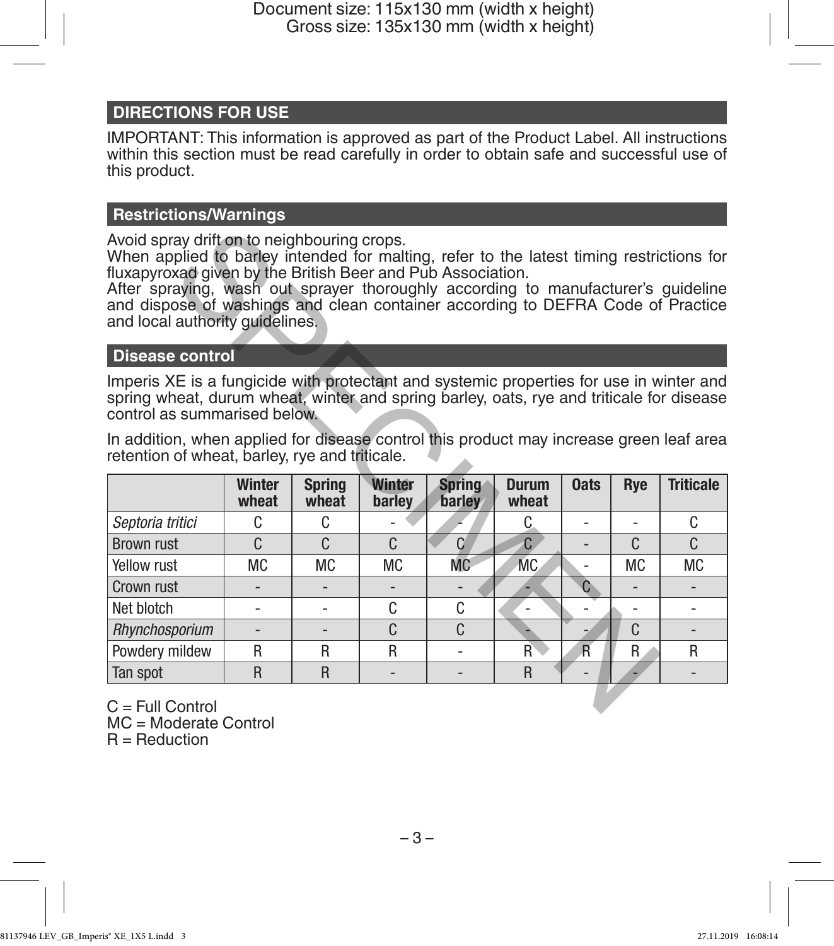# **DIRECTIONS FOR USE**

IMPORTANT: This information is approved as part of the Product Label. All instructions within this section must be read carefully in order to obtain safe and successful use of this product.

### **Restrictions/Warnings**

# **Disease control**

| Avoid spray drift on to neighbouring crops.<br>When applied to barley intended for malting, refer to the latest timing restrictions for<br>fluxapyroxad given by the British Beer and Pub Association.<br>After spraying, wash out sprayer thoroughly according to manufacturer's guideline<br>and dispose of washings and clean container according to DEFRA Code of Practice<br>and local authority quidelines. |                 |                        |                  |                         |                       |                |           |                  |  |  |
|-------------------------------------------------------------------------------------------------------------------------------------------------------------------------------------------------------------------------------------------------------------------------------------------------------------------------------------------------------------------------------------------------------------------|-----------------|------------------------|------------------|-------------------------|-----------------------|----------------|-----------|------------------|--|--|
| <b>Disease control</b>                                                                                                                                                                                                                                                                                                                                                                                            |                 |                        |                  |                         |                       |                |           |                  |  |  |
| Imperis XE is a fungicide with protectant and systemic properties for use in winter and<br>spring wheat, durum wheat, winter and spring barley, oats, rye and triticale for disease<br>control as summarised below.<br>In addition, when applied for disease control this product may increase green leaf area<br>retention of wheat, barley, rye and triticale.                                                  |                 |                        |                  |                         |                       |                |           |                  |  |  |
|                                                                                                                                                                                                                                                                                                                                                                                                                   | Winter<br>wheat | <b>Spring</b><br>wheat | Winter<br>barley | <b>Spring</b><br>barley | <b>Durum</b><br>wheat | <b>Oats</b>    | Rye       | <b>Triticale</b> |  |  |
| Septoria tritici                                                                                                                                                                                                                                                                                                                                                                                                  | C.              | C                      |                  |                         | C.                    | $\overline{a}$ | ۰         | C                |  |  |
| <b>Brown rust</b>                                                                                                                                                                                                                                                                                                                                                                                                 | C.              | C                      | C.               | $\Omega$                | $\mathsf{C}$          |                | C         | C.               |  |  |
| Yellow rust                                                                                                                                                                                                                                                                                                                                                                                                       | <b>MC</b>       | <b>MC</b>              | <b>MC</b>        | <b>MC</b>               | M <sub>C</sub>        |                | <b>MC</b> | <b>MC</b>        |  |  |
| Crown rust                                                                                                                                                                                                                                                                                                                                                                                                        |                 |                        |                  |                         |                       | C              |           |                  |  |  |
| Net blotch                                                                                                                                                                                                                                                                                                                                                                                                        |                 | ٠                      | C.               | C                       | ÷,                    |                | ٠         | ٠                |  |  |
| Rhynchosporium                                                                                                                                                                                                                                                                                                                                                                                                    |                 |                        | $\mathsf{C}$     | C                       |                       |                | C         |                  |  |  |
| Powdery mildew                                                                                                                                                                                                                                                                                                                                                                                                    | R               | R                      | R                | ٠                       | R                     | $\overline{R}$ | R         | R                |  |  |
| Tan spot                                                                                                                                                                                                                                                                                                                                                                                                          | R               | R                      |                  | $\overline{a}$          | $\mathsf{R}$          |                |           | $\overline{a}$   |  |  |
| $C = Full Control$                                                                                                                                                                                                                                                                                                                                                                                                |                 |                        |                  |                         |                       |                |           |                  |  |  |

 $C =$  Full Control MC = Moderate Control  $R =$  Reduction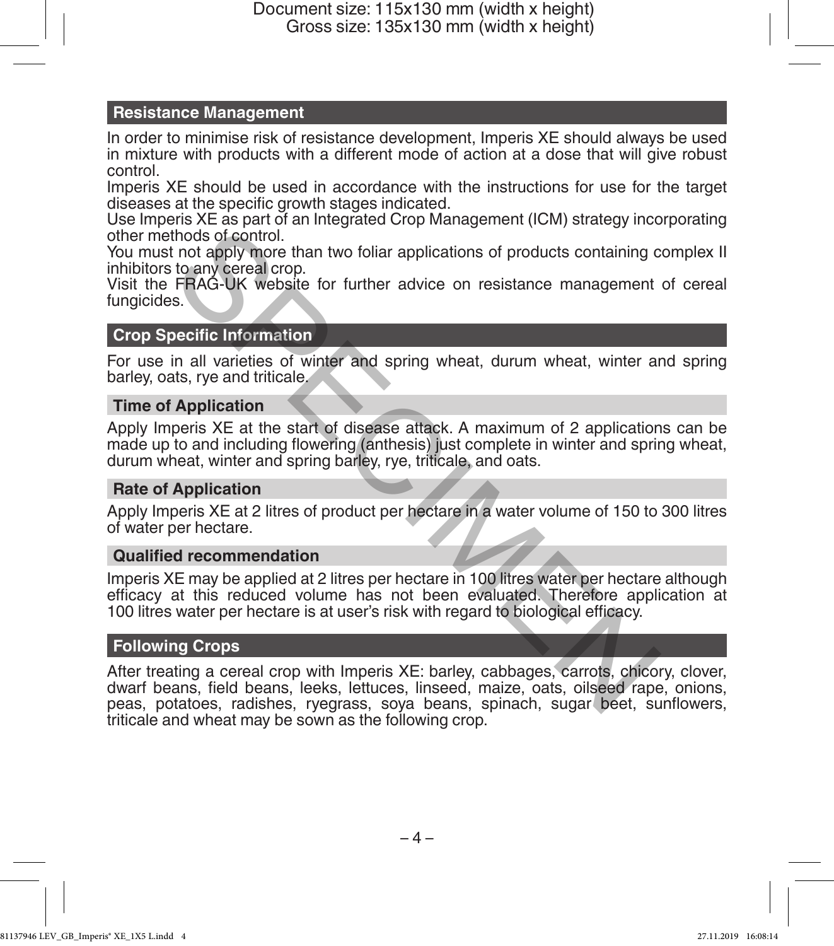## **Resistance Management**

In order to minimise risk of resistance development, Imperis XE should always be used in mixture with products with a different mode of action at a dose that will give robust control.

Imperis XE should be used in accordance with the instructions for use for the target diseases at the specific growth stages indicated.

Use Imperis XE as part of an Integrated Crop Management (ICM) strategy incorporating other methods of control.

You must not apply more than two foliar applications of products containing complex II inhibitors to any cereal crop.

Visit the FRAG-UK website for further advice on resistance management of cereal fungicides.

# **Crop Specific Information**

For use in all varieties of winter and spring wheat, durum wheat, winter and spring barley, oats, rye and triticale.

# **Time of Application**

Apply Imperis XE at the start of disease attack. A maximum of 2 applications can be made up to and including flowering (anthesis) just complete in winter and spring wheat, durum wheat, winter and spring barley, rye, triticale, and oats.

### **Rate of Application**

Apply Imperis XE at 2 litres of product per hectare in a water volume of 150 to 300 litres of water per hectare.

### **Qualified recommendation**

Imperis XE may be applied at 2 litres per hectare in 100 litres water per hectare although efficacy at this reduced volume has not been evaluated. Therefore application at 100 litres water per hectare is at user's risk with regard to biological efficacy.

### **Following Crops**

After treating a cereal crop with Imperis XE: barley, cabbages, carrots, chicory, clover, dwarf beans, field beans, leeks, lettuces, linseed, maize, oats, oilseed rape, onions, peas, potatoes, radishes, ryegrass, soya beans, spinach, sugar beet, sunflowers, triticale and wheat may be sown as the following crop. thods of control.<br>
In not apply more than two foliar applications of products containing c<br>
to any cereal crop.<br>
FRAG-UK website for further advice on resistance management<br>
s.<br>
becific Information<br>
in all varieties of win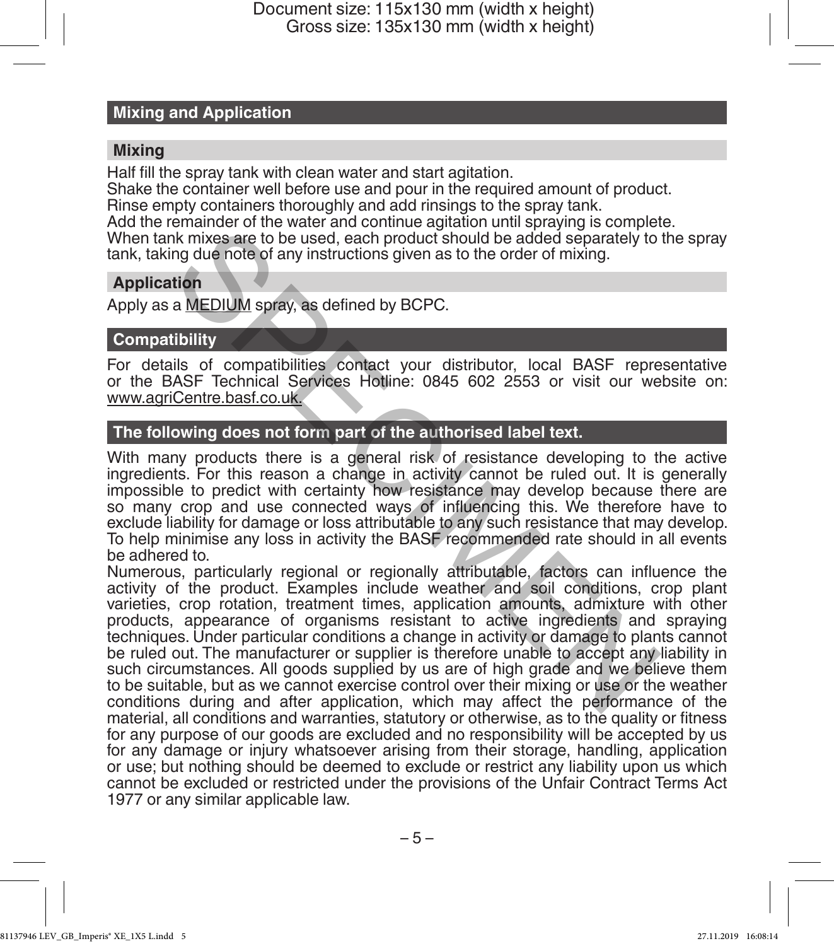### **Mixing and Application**

### **Mixing**

Half fill the spray tank with clean water and start agitation.

Shake the container well before use and pour in the required amount of product.

Rinse empty containers thoroughly and add rinsings to the spray tank.

Add the remainder of the water and continue agitation until spraying is complete.

When tank mixes are to be used, each product should be added separately to the spray tank, taking due note of any instructions given as to the order of mixing.

# **Application**

Apply as a MEDIUM spray, as defined by BCPC.

# **Compatibility**

For details of compatibilities contact your distributor, local BASF representative or the BASF Technical Services Hotline: 0845 602 2553 or visit our website on: www.agriCentre.basf.co.uk.

# **The following does not form part of the authorised label text.**

With many products there is a general risk of resistance developing to the active ingredients. For this reason a change in activity cannot be ruled out. It is generally impossible to predict with certainty how resistance may develop because there are so many crop and use connected ways of influencing this. We therefore have to exclude liability for damage or loss attributable to any such resistance that may develop. To help minimise any loss in activity the BASF recommended rate should in all events be adhered to.

Numerous, particularly regional or regionally attributable, factors can influence the activity of the product. Examples include weather and soil conditions, crop plant varieties, crop rotation, treatment times, application amounts, admixture with other products, appearance of organisms resistant to active ingredients and spraying techniques. Under particular conditions a change in activity or damage to plants cannot be ruled out. The manufacturer or supplier is therefore unable to accept any liability in such circumstances. All goods supplied by us are of high grade and we believe them to be suitable, but as we cannot exercise control over their mixing or use or the weather conditions during and after application, which may affect the performance of the material, all conditions and warranties, statutory or otherwise, as to the quality or fitness for any purpose of our goods are excluded and no responsibility will be accepted by us for any damage or injury whatsoever arising from their storage, handling, application or use; but nothing should be deemed to exclude or restrict any liability upon us which cannot be excluded or restricted under the provisions of the Unfair Contract Terms Act 1977 or any similar applicable law. Channel of the water and contained equation and the mapping to contain the manned than a MEDIUM spray, as defined by BCPC.<br>
He mixes are to be used, each product should be added separately to<br>
ing due note of any instructi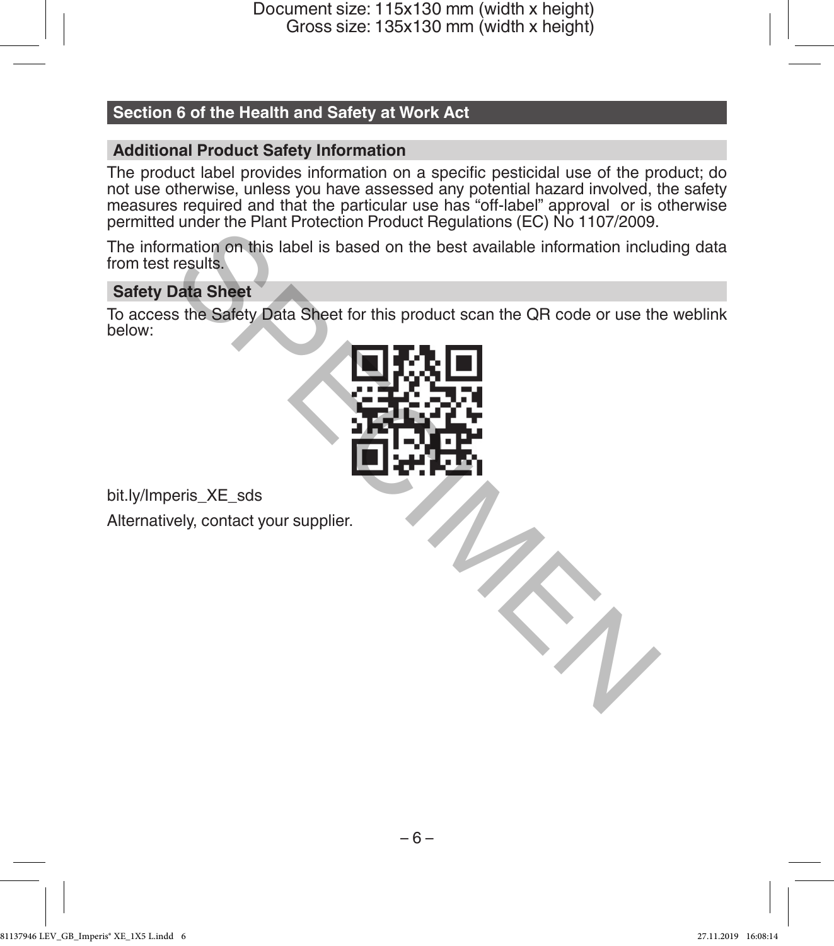# **Section 6 of the Health and Safety at Work Act**

# **Additional Product Safety Information**

The product label provides information on a specific pesticidal use of the product; do not use otherwise, unless you have assessed any potential hazard involved, the safety measures required and that the particular use has "off-label" approval or is otherwise permitted under the Plant Protection Product Regulations (EC) No 1107/2009.

The information on this label is based on the best available information including data from test results.

# **Safety Data Sheet**

To access the Safety Data Sheet for this product scan the QR code or use the weblink below:



bit.ly/Imperis\_XE\_sds Alternatively, contact your supplier.